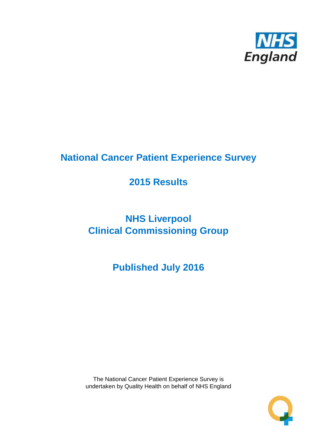

# **National Cancer Patient Experience Survey**

# **2015 Results**

# **NHS Liverpool Clinical Commissioning Group**

**Published July 2016**

The National Cancer Patient Experience Survey is undertaken by Quality Health on behalf of NHS England

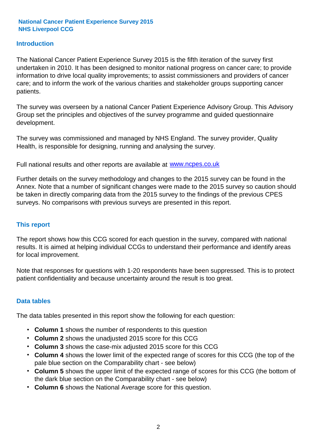#### **Introduction**

The National Cancer Patient Experience Survey 2015 is the fifth iteration of the survey first undertaken in 2010. It has been designed to monitor national progress on cancer care; to provide information to drive local quality improvements; to assist commissioners and providers of cancer care; and to inform the work of the various charities and stakeholder groups supporting cancer patients.

The survey was overseen by a national Cancer Patient Experience Advisory Group. This Advisory Group set the principles and objectives of the survey programme and guided questionnaire development.

The survey was commissioned and managed by NHS England. The survey provider, Quality Health, is responsible for designing, running and analysing the survey.

Full national results and other reports are available at www.ncpes.co.uk

Further details on the survey methodology and changes to the 2015 survey can be found in the Annex. Note that a number of significant changes were made to the 2015 survey so caution should be taken in directly comparing data from the 2015 survey to the findings of the previous CPES surveys. No comparisons with previous surveys are presented in this report.

#### **This report**

The report shows how this CCG scored for each question in the survey, compared with national results. It is aimed at helping individual CCGs to understand their performance and identify areas for local improvement.

Note that responses for questions with 1-20 respondents have been suppressed. This is to protect patient confidentiality and because uncertainty around the result is too great.

#### **Data tables**

The data tables presented in this report show the following for each question:

- **Column 1** shows the number of respondents to this question
- **Column 2** shows the unadjusted 2015 score for this CCG
- **Column 3** shows the case-mix adjusted 2015 score for this CCG
- **Column 4** shows the lower limit of the expected range of scores for this CCG (the top of the pale blue section on the Comparability chart - see below)
- **Column 5** shows the upper limit of the expected range of scores for this CCG (the bottom of the dark blue section on the Comparability chart - see below)
- **Column 6** shows the National Average score for this question.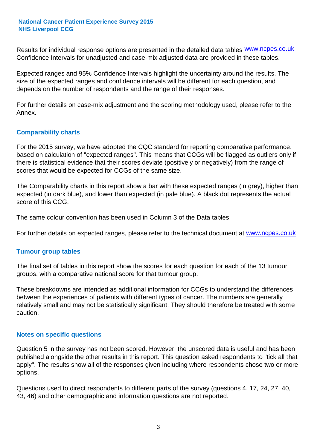Results for individual response options are presented in the detailed data tables **WWW.ncpes.co.uk** Confidence Intervals for unadjusted and case-mix adjusted data are provided in these tables.

Expected ranges and 95% Confidence Intervals highlight the uncertainty around the results. The size of the expected ranges and confidence intervals will be different for each question, and depends on the number of respondents and the range of their responses.

For further details on case-mix adjustment and the scoring methodology used, please refer to the Annex.

#### **Comparability charts**

For the 2015 survey, we have adopted the CQC standard for reporting comparative performance, based on calculation of "expected ranges". This means that CCGs will be flagged as outliers only if there is statistical evidence that their scores deviate (positively or negatively) from the range of scores that would be expected for CCGs of the same size.

The Comparability charts in this report show a bar with these expected ranges (in grey), higher than expected (in dark blue), and lower than expected (in pale blue). A black dot represents the actual score of this CCG.

The same colour convention has been used in Column 3 of the Data tables.

For further details on expected ranges, please refer to the technical document at **www.ncpes.co.uk** 

#### **Tumour group tables**

The final set of tables in this report show the scores for each question for each of the 13 tumour groups, with a comparative national score for that tumour group.

These breakdowns are intended as additional information for CCGs to understand the differences between the experiences of patients with different types of cancer. The numbers are generally relatively small and may not be statistically significant. They should therefore be treated with some caution.

#### **Notes on specific questions**

Question 5 in the survey has not been scored. However, the unscored data is useful and has been published alongside the other results in this report. This question asked respondents to "tick all that apply". The results show all of the responses given including where respondents chose two or more options.

Questions used to direct respondents to different parts of the survey (questions 4, 17, 24, 27, 40, 43, 46) and other demographic and information questions are not reported.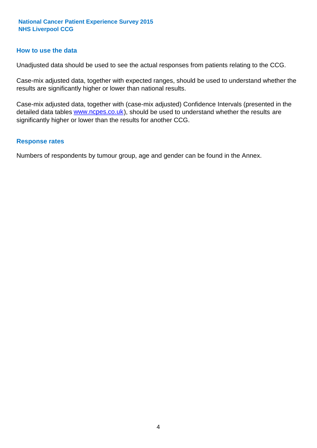#### **How to use the data**

Unadjusted data should be used to see the actual responses from patients relating to the CCG.

Case-mix adjusted data, together with expected ranges, should be used to understand whether the results are significantly higher or lower than national results.

Case-mix adjusted data, together with (case-mix adjusted) Confidence Intervals (presented in the detailed data tables **www.ncpes.co.uk**), should be used to understand whether the results are significantly higher or lower than the results for another CCG.

#### **Response rates**

Numbers of respondents by tumour group, age and gender can be found in the Annex.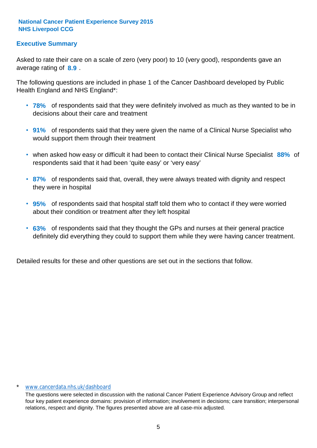## **Executive Summary**

average rating of **8.9**. Asked to rate their care on a scale of zero (very poor) to 10 (very good), respondents gave an

The following questions are included in phase 1 of the Cancer Dashboard developed by Public Health England and NHS England\*:

- **78%** of respondents said that they were definitely involved as much as they wanted to be in decisions about their care and treatment
- **91%** of respondents said that they were given the name of a Clinical Nurse Specialist who would support them through their treatment
- when asked how easy or difficult it had been to contact their Clinical Nurse Specialist 88% of respondents said that it had been 'quite easy' or 'very easy'
- **87%** of respondents said that, overall, they were always treated with dignity and respect they were in hospital
- **95%** of respondents said that hospital staff told them who to contact if they were worried about their condition or treatment after they left hospital
- **63%** of respondents said that they thought the GPs and nurses at their general practice definitely did everything they could to support them while they were having cancer treatment.

Detailed results for these and other questions are set out in the sections that follow.

#### www.cancerdata.nhs.uk/dashboard

The questions were selected in discussion with the national Cancer Patient Experience Advisory Group and reflect four key patient experience domains: provision of information; involvement in decisions; care transition; interpersonal relations, respect and dignity. The figures presented above are all case-mix adjusted.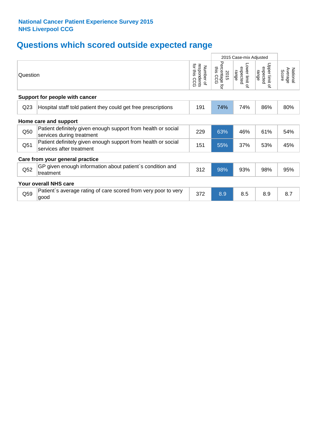## **Questions which scored outside expected range**

|                 |                                                                                            | 2015 Case-mix Adjusted                     |                                     |                                     |                                     |                              |
|-----------------|--------------------------------------------------------------------------------------------|--------------------------------------------|-------------------------------------|-------------------------------------|-------------------------------------|------------------------------|
| Question        |                                                                                            | for this<br>respondents<br>Number of<br>ဥဥ | Percentage<br>this CCG<br>2015<br>ą | Lower limit of<br>expected<br>range | Upper limit of<br>expected<br>range | Average<br>National<br>Score |
|                 | Support for people with cancer                                                             |                                            |                                     |                                     |                                     |                              |
| Q <sub>23</sub> | Hospital staff told patient they could get free prescriptions                              | 191                                        | 74%                                 | 74%                                 | 86%                                 | 80%                          |
|                 | Home care and support                                                                      |                                            |                                     |                                     |                                     |                              |
| Q50             | Patient definitely given enough support from health or social<br>services during treatment | 229                                        | 63%                                 | 46%                                 | 61%                                 | 54%                          |
| Q <sub>51</sub> | Patient definitely given enough support from health or social<br>services after treatment  | 151                                        | 55%                                 | 37%                                 | 53%                                 | 45%                          |
|                 | Care from your general practice                                                            |                                            |                                     |                                     |                                     |                              |
| Q52             | GP given enough information about patient's condition and<br>treatment                     | 312                                        | 98%                                 | 93%                                 | 98%                                 | 95%                          |
|                 | Your overall NHS care                                                                      |                                            |                                     |                                     |                                     |                              |
| Q59             | Patient's average rating of care scored from very poor to very<br>good                     | 372                                        | 8.9                                 | 8.5                                 | 8.9                                 | 8.7                          |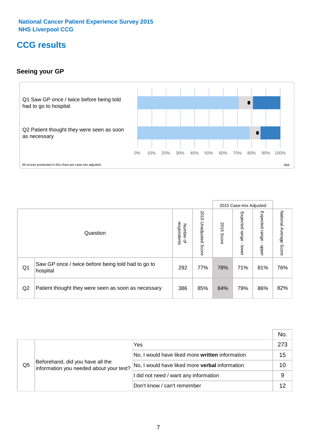## **CCG results**

## **Seeing your GP**



|    |                                                                |                                         |                             |               | 2015 Case-mix Adjusted     |                            |                        |
|----|----------------------------------------------------------------|-----------------------------------------|-----------------------------|---------------|----------------------------|----------------------------|------------------------|
|    | Question                                                       | respondents<br>Number<br>$\overline{a}$ | 2015<br>Unadjusted<br>Score | 2015<br>Score | Expected<br>range<br>lower | Expected<br>range<br>nbber | National Average Score |
| Q1 | Saw GP once / twice before being told had to go to<br>hospital | 292                                     | 77%                         | 78%           | 71%                        | 81%                        | 76%                    |
| Q2 | Patient thought they were seen as soon as necessary            | 386                                     | 85%                         | 84%           | 79%                        | 86%                        | 82%                    |

|    |                                                                             |                                                 | No. |
|----|-----------------------------------------------------------------------------|-------------------------------------------------|-----|
|    | Beforehand, did you have all the<br>information you needed about your test? | Yes                                             | 273 |
|    |                                                                             | No, I would have liked more written information | 15  |
| Q5 |                                                                             | No, I would have liked more verbal information  | 10  |
|    |                                                                             | I did not need / want any information           | 9   |
|    |                                                                             | Don't know / can't remember                     | 12  |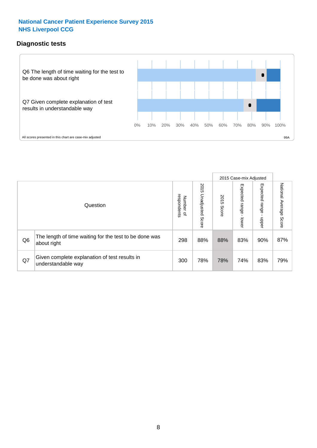## **Diagnostic tests**



|                |                                                                       |                                       |                             |               | 2015 Case-mix Adjusted       |                         |                           |
|----------------|-----------------------------------------------------------------------|---------------------------------------|-----------------------------|---------------|------------------------------|-------------------------|---------------------------|
|                | Question                                                              | respondents<br>Number<br>$\mathbf{Q}$ | 2015<br>Unadjusted<br>Score | 2015<br>Score | Expected<br>I range<br>lower | Expected range<br>nbber | National Average<br>Score |
| Q <sub>6</sub> | The length of time waiting for the test to be done was<br>about right | 298                                   | 88%                         | 88%           | 83%                          | 90%                     | 87%                       |
| Q7             | Given complete explanation of test results in<br>understandable way   | 300                                   | 78%                         | 78%           | 74%                          | 83%                     | 79%                       |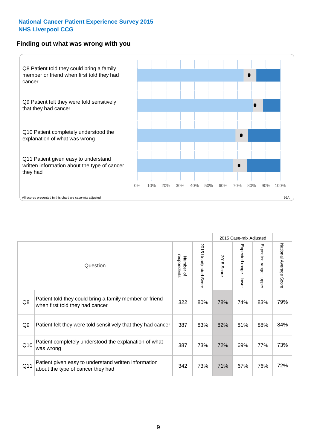#### **Finding out what was wrong with you**



|     |                                                                                            |                          |                       |               | 2015 Case-mix Adjusted |                                           |                           |
|-----|--------------------------------------------------------------------------------------------|--------------------------|-----------------------|---------------|------------------------|-------------------------------------------|---------------------------|
|     | Question                                                                                   | Number of<br>respondents | 2015 Unadjusted Score | 2015<br>Score | Expected range - lower | Expected range<br>$\blacksquare$<br>nbper | National Average<br>Score |
| Q8  | Patient told they could bring a family member or friend<br>when first told they had cancer | 322                      | 80%                   | 78%           | 74%                    | 83%                                       | 79%                       |
| Q9  | Patient felt they were told sensitively that they had cancer                               | 387                      | 83%                   | 82%           | 81%                    | 88%                                       | 84%                       |
| Q10 | Patient completely understood the explanation of what<br>was wrong                         | 387                      | 73%                   | 72%           | 69%                    | 77%                                       | 73%                       |
| Q11 | Patient given easy to understand written information<br>about the type of cancer they had  | 342                      | 73%                   | 71%           | 67%                    | 76%                                       | 72%                       |
|     |                                                                                            |                          |                       |               |                        |                                           |                           |

73%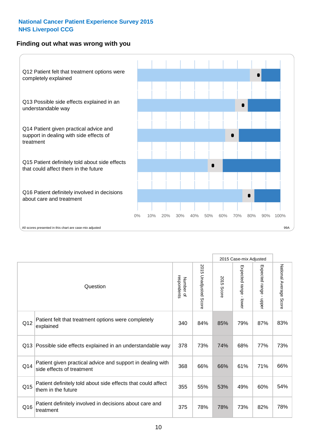### **Finding out what was wrong with you**



|                 |                                                                                         |                          |                                 |               | 2015 Case-mix Adjusted                  |                        |                        |
|-----------------|-----------------------------------------------------------------------------------------|--------------------------|---------------------------------|---------------|-----------------------------------------|------------------------|------------------------|
|                 | Question                                                                                | respondents<br>Number of | 2015<br><b>Unadjusted Score</b> | 2015<br>Score | Expected range<br>$\mathbf{r}$<br>lower | Expected range - upper | National Average Score |
| Q12             | Patient felt that treatment options were completely<br>explained                        | 340                      | 84%                             | 85%           | 79%                                     | 87%                    | 83%                    |
| Q13             | Possible side effects explained in an understandable way                                | 378                      | 73%                             | 74%           | 68%                                     | 77%                    | 73%                    |
| Q14             | Patient given practical advice and support in dealing with<br>side effects of treatment | 368                      | 66%                             | 66%           | 61%                                     | 71%                    | 66%                    |
| Q <sub>15</sub> | Patient definitely told about side effects that could affect<br>them in the future      | 355                      | 55%                             | 53%           | 49%                                     | 60%                    | 54%                    |
| Q16             | Patient definitely involved in decisions about care and<br>treatment                    | 375                      | 78%                             | 78%           | 73%                                     | 82%                    | 78%                    |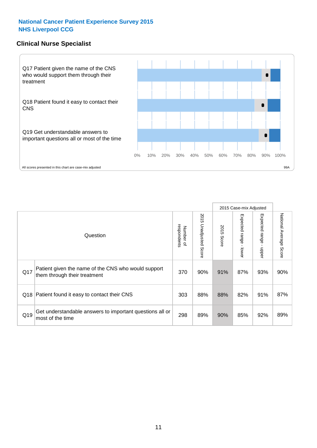### **Clinical Nurse Specialist**



|     |                                                                                     |                          |                                 |               | 2015 Case-mix Adjusted       |                         |                        |
|-----|-------------------------------------------------------------------------------------|--------------------------|---------------------------------|---------------|------------------------------|-------------------------|------------------------|
|     | Question                                                                            | Number of<br>respondents | 2015<br><b>Unadjusted Score</b> | 2015<br>Score | Expected<br>I range<br>lower | Expected range<br>nbber | National Average Score |
| Q17 | Patient given the name of the CNS who would support<br>them through their treatment | 370                      | 90%                             | 91%           | 87%                          | 93%                     | 90%                    |
| Q18 | Patient found it easy to contact their CNS                                          | 303                      | 88%                             | 88%           | 82%                          | 91%                     | 87%                    |
| Q19 | Get understandable answers to important questions all or<br>most of the time        | 298                      | 89%                             | 90%           | 85%                          | 92%                     | 89%                    |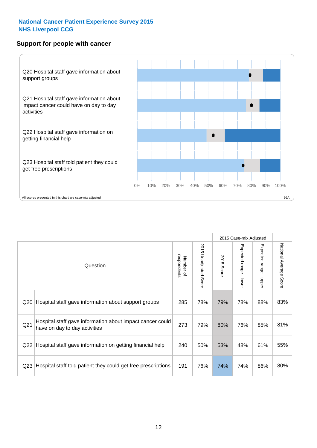#### **Support for people with cancer**



|                 |                                                                                            |                          |                                 |               | 2015 Case-mix Adjusted  |                                         |                        |
|-----------------|--------------------------------------------------------------------------------------------|--------------------------|---------------------------------|---------------|-------------------------|-----------------------------------------|------------------------|
|                 | Question                                                                                   | respondents<br>Number of | 2015<br><b>Unadjusted Score</b> | 2015<br>Score | Expected range<br>lower | Expected range<br>$\mathbf{I}$<br>nbber | National Average Score |
| Q <sub>20</sub> | Hospital staff gave information about support groups                                       | 285                      | 78%                             | 79%           | 78%                     | 88%                                     | 83%                    |
| Q <sub>21</sub> | Hospital staff gave information about impact cancer could<br>have on day to day activities | 273                      | 79%                             | 80%           | 76%                     | 85%                                     | 81%                    |
| Q22             | Hospital staff gave information on getting financial help                                  | 240                      | 50%                             | 53%           | 48%                     | 61%                                     | 55%                    |
| Q <sub>23</sub> | Hospital staff told patient they could get free prescriptions                              | 191                      | 76%                             | 74%           | 74%                     | 86%                                     | 80%                    |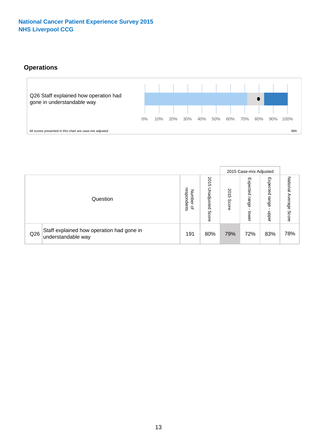## **Operations**



|     |                                                                 |                                              |                             |                       | 2015 Case-mix Adjusted     |                            |                              |
|-----|-----------------------------------------------------------------|----------------------------------------------|-----------------------------|-----------------------|----------------------------|----------------------------|------------------------------|
|     | Question                                                        | respondents<br>Number<br>$\overline{\sigma}$ | 2015<br>Unadjusted<br>Score | 8<br>∸<br>CΠ<br>Score | Expected<br>range<br>lower | Expected<br>range<br>doper | National<br>Average<br>Score |
| Q26 | Staff explained how operation had gone in<br>understandable way | 191                                          | 80%                         | 79%                   | 72%                        | 83%                        | 78%                          |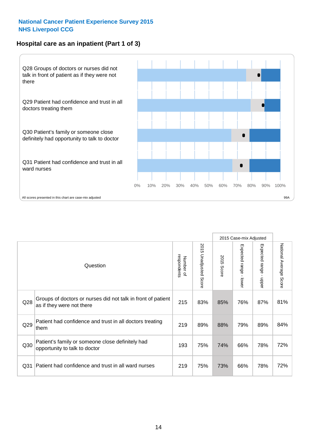## **Hospital care as an inpatient (Part 1 of 3)**



All scores presented in this chart are case-mix adjusted states and provide the entries of the state of the state of the state of the state of the state of the state of the state of the state of the state of the state of t

|                 |                                                                                           |                          |                       |                      | 2015 Case-mix Adjusted                  |                                           |                        |
|-----------------|-------------------------------------------------------------------------------------------|--------------------------|-----------------------|----------------------|-----------------------------------------|-------------------------------------------|------------------------|
|                 | Question                                                                                  | respondents<br>Number of | 2015 Unadjusted Score | 2015<br><b>Score</b> | Expected range<br>$\mathbf{r}$<br>lower | Expected range<br>$\blacksquare$<br>nbber | National Average Score |
| Q28             | Groups of doctors or nurses did not talk in front of patient<br>as if they were not there | 215                      | 83%                   | 85%                  | 76%                                     | 87%                                       | 81%                    |
| Q29             | Patient had confidence and trust in all doctors treating<br>them                          | 219                      | 89%                   | 88%                  | 79%                                     | 89%                                       | 84%                    |
| Q30             | Patient's family or someone close definitely had<br>opportunity to talk to doctor         | 193                      | 75%                   | 74%                  | 66%                                     | 78%                                       | 72%                    |
| Q <sub>31</sub> | Patient had confidence and trust in all ward nurses                                       | 219                      | 75%                   | 73%                  | 66%                                     | 78%                                       | 72%                    |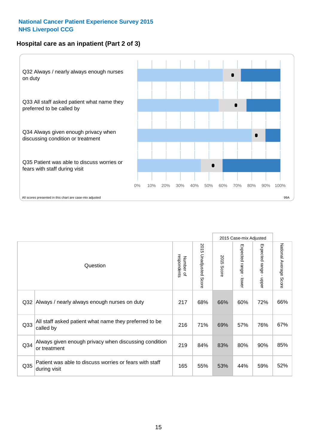## **Hospital care as an inpatient (Part 2 of 3)**



|                 |                                                                         |                          |                          |               | 2015 Case-mix Adjusted                  |                                           |                        |
|-----------------|-------------------------------------------------------------------------|--------------------------|--------------------------|---------------|-----------------------------------------|-------------------------------------------|------------------------|
|                 | Question                                                                | respondents<br>Number of | 2015<br>Unadjusted Score | 2015<br>Score | Expected range<br>$\mathbf{r}$<br>lower | Expected range<br>$\blacksquare$<br>nbber | National Average Score |
| Q <sub>32</sub> | Always / nearly always enough nurses on duty                            | 217                      | 68%                      | 66%           | 60%                                     | 72%                                       | 66%                    |
| Q <sub>33</sub> | All staff asked patient what name they preferred to be<br>called by     | 216                      | 71%                      | 69%           | 57%                                     | 76%                                       | 67%                    |
| Q <sub>34</sub> | Always given enough privacy when discussing condition<br>or treatment   | 219                      | 84%                      | 83%           | 80%                                     | 90%                                       | 85%                    |
| Q35             | Patient was able to discuss worries or fears with staff<br>during visit | 165                      | 55%                      | 53%           | 44%                                     | 59%                                       | 52%                    |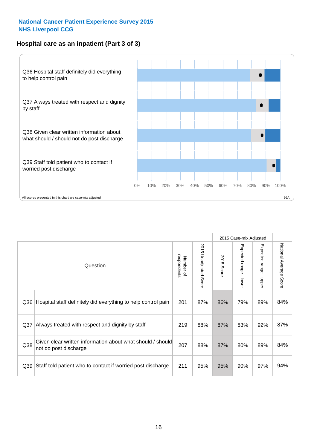## **Hospital care as an inpatient (Part 3 of 3)**



|                 |                                                                                     |                          |                                 |               | 2015 Case-mix Adjusted  |                           |                        |
|-----------------|-------------------------------------------------------------------------------------|--------------------------|---------------------------------|---------------|-------------------------|---------------------------|------------------------|
|                 | Question                                                                            | respondents<br>Number of | 2015<br><b>Unadjusted Score</b> | 2015<br>Score | Expected range<br>lower | Expected range<br>- nbber | National Average Score |
| Q36             | Hospital staff definitely did everything to help control pain                       | 201                      | 87%                             | 86%           | 79%                     | 89%                       | 84%                    |
| Q <sub>37</sub> | Always treated with respect and dignity by staff                                    | 219                      | 88%                             | 87%           | 83%                     | 92%                       | 87%                    |
| Q38             | Given clear written information about what should / should<br>not do post discharge | 207                      | 88%                             | 87%           | 80%                     | 89%                       | 84%                    |
| Q39             | Staff told patient who to contact if worried post discharge                         | 211                      | 95%                             | 95%           | 90%                     | 97%                       | 94%                    |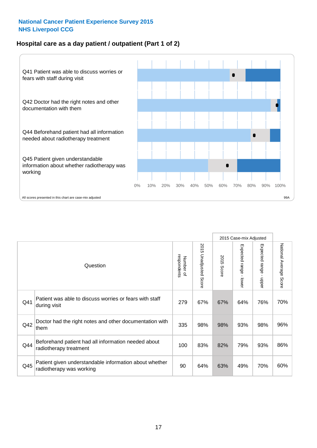## **Hospital care as a day patient / outpatient (Part 1 of 2)**



|     |                                                                                    |                          |                                 | 2015 Case-mix Adjusted |                                           |                                           |                        |
|-----|------------------------------------------------------------------------------------|--------------------------|---------------------------------|------------------------|-------------------------------------------|-------------------------------------------|------------------------|
|     | Question                                                                           | respondents<br>Number of | 2015<br><b>Unadjusted Score</b> | 2015<br><b>Score</b>   | Expected range<br>$\blacksquare$<br>lower | Expected range<br>$\blacksquare$<br>nbber | National Average Score |
| Q41 | Patient was able to discuss worries or fears with staff<br>during visit            | 279                      | 67%                             | 67%                    | 64%                                       | 76%                                       | 70%                    |
| Q42 | Doctor had the right notes and other documentation with<br>them                    | 335                      | 98%                             | 98%                    | 93%                                       | 98%                                       | 96%                    |
| Q44 | Beforehand patient had all information needed about<br>radiotherapy treatment      | 100                      | 83%                             | 82%                    | 79%                                       | 93%                                       | 86%                    |
| Q45 | Patient given understandable information about whether<br>radiotherapy was working | 90                       | 64%                             | 63%                    | 49%                                       | 70%                                       | 60%                    |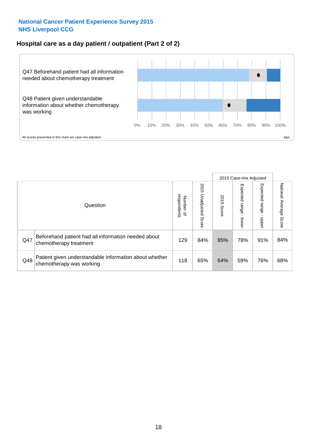### **Hospital care as a day patient / outpatient (Part 2 of 2)**



|     |                                                                                    |                                       |                             | 2015 Case-mix Adjusted |                         |                            |                           |
|-----|------------------------------------------------------------------------------------|---------------------------------------|-----------------------------|------------------------|-------------------------|----------------------------|---------------------------|
|     | Question                                                                           | respondents<br>Number<br>$\mathbf{Q}$ | 2015<br>Unadjusted<br>Score | 2015<br>Score          | Expected range<br>lower | Expected<br>range<br>doper | National Average<br>Score |
| Q47 | Beforehand patient had all information needed about<br>chemotherapy treatment      | 129                                   | 84%                         | 85%                    | 78%                     | 91%                        | 84%                       |
| Q48 | Patient given understandable information about whether<br>chemotherapy was working | 118                                   | 65%                         | 64%                    | 59%                     | 76%                        | 68%                       |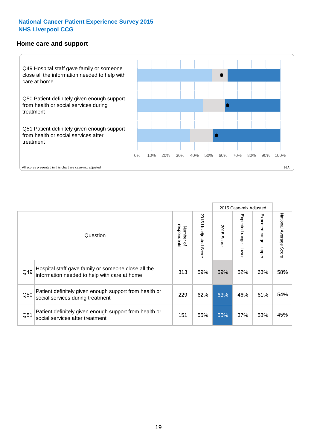#### **Home care and support**



|     |                                                                                                     |                          |                          | 2015 Case-mix Adjusted |                         |                         |                        |
|-----|-----------------------------------------------------------------------------------------------------|--------------------------|--------------------------|------------------------|-------------------------|-------------------------|------------------------|
|     | Question                                                                                            | respondents<br>Number of | 2015<br>Unadjusted Score | 2015<br>Score          | Expected range<br>lower | Expected range<br>nbber | National Average Score |
| Q49 | Hospital staff gave family or someone close all the<br>information needed to help with care at home | 313                      | 59%                      | 59%                    | 52%                     | 63%                     | 58%                    |
| Q50 | Patient definitely given enough support from health or<br>social services during treatment          | 229                      | 62%                      | 63%                    | 46%                     | 61%                     | 54%                    |
| Q51 | Patient definitely given enough support from health or<br>social services after treatment           | 151                      | 55%                      | 55%                    | 37%                     | 53%                     | 45%                    |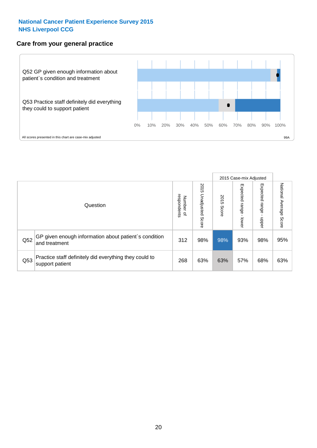## **Care from your general practice**



|     |                                                                           |                                       |                             | 2015 Case-mix Adjusted |                                    |                            |                           |
|-----|---------------------------------------------------------------------------|---------------------------------------|-----------------------------|------------------------|------------------------------------|----------------------------|---------------------------|
|     | Question                                                                  | respondents<br>Number<br>$\mathbf{Q}$ | 2015<br>Unadjusted<br>Score | 2015<br>Score          | Expected<br><b>Irange</b><br>lower | Expected<br>range<br>doper | National Average<br>Score |
| Q52 | GP given enough information about patient's condition<br>and treatment    | 312                                   | 98%                         | 98%                    | 93%                                | 98%                        | 95%                       |
| Q53 | Practice staff definitely did everything they could to<br>support patient | 268                                   | 63%                         | 63%                    | 57%                                | 68%                        | 63%                       |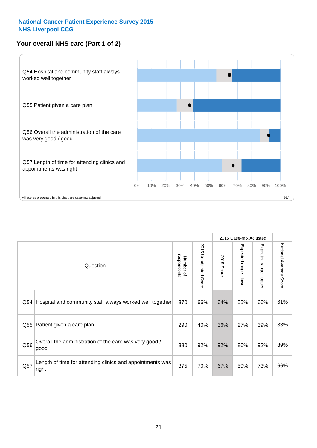## **Your overall NHS care (Part 1 of 2)**



|     |                                                                    |                          |                                 | 2015 Case-mix Adjusted |                         |                                           |                        |
|-----|--------------------------------------------------------------------|--------------------------|---------------------------------|------------------------|-------------------------|-------------------------------------------|------------------------|
|     | Question                                                           | respondents<br>Number of | 2015<br><b>Unadjusted Score</b> | 2015<br><b>Score</b>   | Expected range<br>lower | Expected range<br>$\blacksquare$<br>nbber | National Average Score |
| Q54 | Hospital and community staff always worked well together           | 370                      | 66%                             | 64%                    | 55%                     | 66%                                       | 61%                    |
| Q55 | Patient given a care plan                                          | 290                      | 40%                             | 36%                    | 27%                     | 39%                                       | 33%                    |
| Q56 | Overall the administration of the care was very good /<br>good     | 380                      | 92%                             | 92%                    | 86%                     | 92%                                       | 89%                    |
| Q57 | Length of time for attending clinics and appointments was<br>right | 375                      | 70%                             | 67%                    | 59%                     | 73%                                       | 66%                    |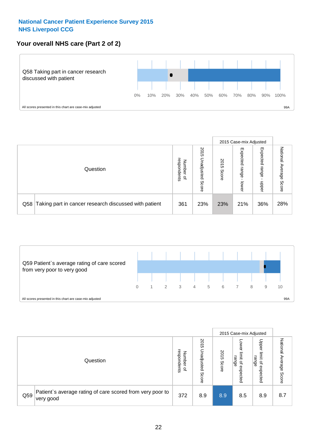## **Your overall NHS care (Part 2 of 2)**



|     |                                                       |                                   |                             |               |                            | 2015 Case-mix Adjusted     |                        |
|-----|-------------------------------------------------------|-----------------------------------|-----------------------------|---------------|----------------------------|----------------------------|------------------------|
|     | Question                                              | respondents<br>Number<br>$\Omega$ | 2015<br>Unadjusted<br>Score | 2015<br>Score | Expected<br>range<br>lower | Expected<br>range<br>nbber | National Average Score |
| Q58 | Taking part in cancer research discussed with patient | 361                               | 23%                         | 23%           | 21%                        | 36%                        | 28%                    |



|     |                                                                        |                                              |                             |               |                                                           | 2015 Case-mix Adjusted                                          |                           |
|-----|------------------------------------------------------------------------|----------------------------------------------|-----------------------------|---------------|-----------------------------------------------------------|-----------------------------------------------------------------|---------------------------|
|     | Question                                                               | respondents<br>Number<br>$\overline{\sigma}$ | 2015<br>Unadjusted<br>Score | 2015<br>Score | OWer<br>limit<br>range<br>$\overline{\sigma}$<br>expected | Upper<br>limit<br>range<br>$\overline{\mathcal{C}}$<br>expected | National Average<br>Score |
| Q59 | Patient's average rating of care scored from very poor to<br>very good | 372                                          | 8.9                         | 8.9           | 8.5                                                       | 8.9                                                             | 8.7                       |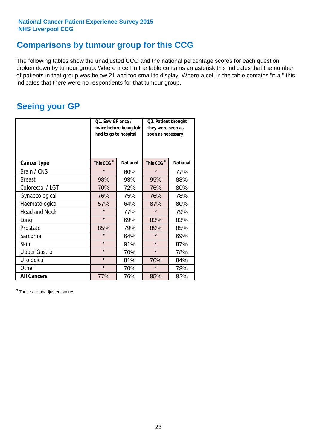## **Comparisons by tumour group for this CCG**

The following tables show the unadjusted CCG and the national percentage scores for each question broken down by tumour group. Where a cell in the table contains an asterisk this indicates that the number of patients in that group was below 21 and too small to display. Where a cell in the table contains "n.a." this indicates that there were no respondents for that tumour group.

## **Seeing your GP**

|                      | Q1. Saw GP once /<br>had to go to hospital | twice before being told | Q2. Patient thought<br>they were seen as<br>soon as necessary |                 |  |
|----------------------|--------------------------------------------|-------------------------|---------------------------------------------------------------|-----------------|--|
| <b>Cancer type</b>   | This CCG <sup>\$</sup>                     | <b>National</b>         | This CCG <sup>\$</sup>                                        | <b>National</b> |  |
| Brain / CNS          | $\star$                                    | 60%                     | $\star$                                                       | 77%             |  |
| <b>Breast</b>        | 98%                                        | 93%                     | 95%                                                           | 88%             |  |
| Colorectal / LGT     | 70%                                        | 72%                     | 76%                                                           | 80%             |  |
| Gynaecological       | 76%                                        | 75%                     | 76%                                                           | 78%             |  |
| Haematological       | 57%                                        | 64%                     | 87%                                                           | 80%             |  |
| <b>Head and Neck</b> | $\star$                                    | 77%                     | $\star$                                                       | 79%             |  |
| Lung                 | $\star$                                    | 69%                     | 83%                                                           | 83%             |  |
| Prostate             | 85%                                        | 79%                     | 89%                                                           | 85%             |  |
| Sarcoma              | $\star$                                    | 64%                     | $\star$                                                       | 69%             |  |
| <b>Skin</b>          | $\star$                                    | 91%                     | $\star$                                                       | 87%             |  |
| <b>Upper Gastro</b>  | $\star$                                    | 70%                     | $\star$                                                       | 78%             |  |
| Urological           | $\star$                                    | 81%                     | 70%                                                           | 84%             |  |
| Other                | $\star$                                    | 70%                     | $\star$                                                       | 78%             |  |
| <b>All Cancers</b>   | 77%                                        | 76%                     | 85%                                                           | 82%             |  |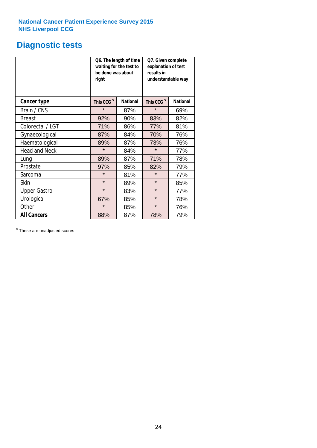## **Diagnostic tests**

|                      | be done was about<br>right | Q6. The length of time<br>waiting for the test to | Q7. Given complete<br>explanation of test<br>results in<br>understandable way |                 |  |
|----------------------|----------------------------|---------------------------------------------------|-------------------------------------------------------------------------------|-----------------|--|
| <b>Cancer type</b>   | This CCG <sup>\$</sup>     | <b>National</b>                                   | This CCG <sup>\$</sup>                                                        | <b>National</b> |  |
| Brain / CNS          | $\star$                    | 87%                                               | $\star$                                                                       | 69%             |  |
| <b>Breast</b>        | 92%                        | 90%                                               | 83%                                                                           | 82%             |  |
| Colorectal / LGT     | 71%                        | 86%                                               | 77%                                                                           | 81%             |  |
| Gynaecological       | 87%                        | 84%                                               | 70%                                                                           | 76%             |  |
| Haematological       | 89%                        | 87%                                               | 73%                                                                           | 76%             |  |
| <b>Head and Neck</b> | $\star$                    | 84%                                               | $\star$                                                                       | 77%             |  |
| Lung                 | 89%                        | 87%                                               | 71%                                                                           | 78%             |  |
| Prostate             | 97%                        | 85%                                               | 82%                                                                           | 79%             |  |
| Sarcoma              | $\star$                    | 81%                                               | $\star$                                                                       | 77%             |  |
| <b>Skin</b>          | $\star$                    | 89%                                               | $\star$                                                                       | 85%             |  |
| <b>Upper Gastro</b>  | $\star$                    | 83%                                               | $\star$                                                                       | 77%             |  |
| Urological           | 67%                        | 85%                                               | $\star$                                                                       | 78%             |  |
| Other                | $\star$<br>85%             |                                                   | $\star$                                                                       | 76%             |  |
| <b>All Cancers</b>   | 88%                        | 87%                                               | 78%                                                                           | 79%             |  |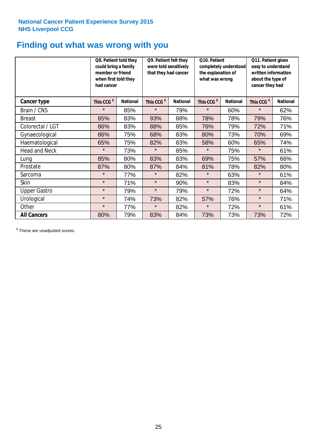## **Finding out what was wrong with you**

|                      | Q8. Patient told they<br>could bring a family<br>member or friend<br>when first told they<br>had cancer |                 | Q9. Patient felt they<br>were told sensitively<br>that they had cancer |                 | Q10. Patient<br>completely understood<br>the explanation of<br>what was wrong |                 | Q11. Patient given<br>easy to understand<br>written information<br>about the type of<br>cancer they had |                 |
|----------------------|---------------------------------------------------------------------------------------------------------|-----------------|------------------------------------------------------------------------|-----------------|-------------------------------------------------------------------------------|-----------------|---------------------------------------------------------------------------------------------------------|-----------------|
| Cancer type          | This CCG <sup>\$</sup>                                                                                  | <b>National</b> | This CCG <sup>\$</sup>                                                 | <b>National</b> | This CCG <sup>\$</sup>                                                        | <b>National</b> | This CCG <sup>\$</sup>                                                                                  | <b>National</b> |
| Brain / CNS          | $\star$                                                                                                 | 85%             | $\star$                                                                | 79%             | $\star$                                                                       | 60%             | $\star$                                                                                                 | 62%             |
| <b>Breast</b>        | 85%                                                                                                     | 83%             | 93%                                                                    | 88%             | 78%                                                                           | 78%             | 79%                                                                                                     | 76%             |
| Colorectal / LGT     | 86%                                                                                                     | 83%             | 88%                                                                    | 85%             | 76%                                                                           | 79%             | 72%                                                                                                     | 71%             |
| Gynaecological       | 86%                                                                                                     | 75%             | 68%                                                                    | 83%             | 80%                                                                           | 73%             | 70%                                                                                                     | 69%             |
| Haematological       | 65%                                                                                                     | 75%             | 82%                                                                    | 83%             | 58%                                                                           | 60%             | 65%                                                                                                     | 74%             |
| <b>Head and Neck</b> | $\star$                                                                                                 | 73%             | $\star$                                                                | 85%             | $\star$                                                                       | 75%             | $\star$                                                                                                 | 61%             |
| Lung                 | 85%                                                                                                     | 80%             | 83%                                                                    | 83%             | 69%                                                                           | 75%             | 57%                                                                                                     | 66%             |
| Prostate             | 87%                                                                                                     | 80%             | 87%                                                                    | 84%             | 81%                                                                           | 78%             | 82%                                                                                                     | 80%             |
| Sarcoma              | $\star$                                                                                                 | 77%             | $\star$                                                                | 82%             | $\star$                                                                       | 63%             | $\star$                                                                                                 | 61%             |
| Skin                 | $\star$                                                                                                 | 71%             | $\star$                                                                | 90%             | $\star$                                                                       | 83%             | $\star$                                                                                                 | 84%             |
| <b>Upper Gastro</b>  | $\star$                                                                                                 | 79%             | $\star$                                                                | 79%             | $\star$                                                                       | 72%             | $\star$                                                                                                 | 64%             |
| Urological           | $\star$                                                                                                 | 74%             | 73%                                                                    | 82%             | 57%                                                                           | 76%             | $\star$                                                                                                 | 71%             |
| Other                | $\star$                                                                                                 | 77%             | $\star$                                                                | 82%             | $\star$                                                                       | 72%             | $\star$                                                                                                 | 61%             |
| <b>All Cancers</b>   | 80%                                                                                                     | 79%             | 83%                                                                    | 84%             | 73%                                                                           | 73%             | 73%                                                                                                     | 72%             |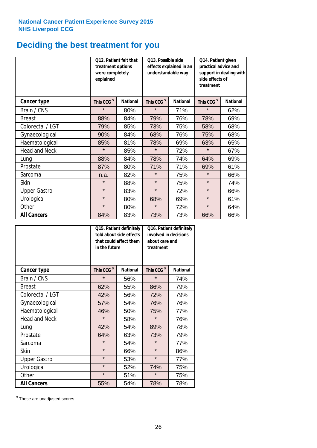## **Deciding the best treatment for you**

|                      | treatment options<br>were completely<br>explained | Q12. Patient felt that | Q13. Possible side<br>understandable way | effects explained in an | Q14. Patient given<br>practical advice and<br>support in dealing with<br>side effects of<br>treatment |                 |  |
|----------------------|---------------------------------------------------|------------------------|------------------------------------------|-------------------------|-------------------------------------------------------------------------------------------------------|-----------------|--|
| <b>Cancer type</b>   | This CCG <sup>\$</sup>                            | <b>National</b>        | This CCG <sup>\$</sup>                   | <b>National</b>         | This CCG <sup>\$</sup>                                                                                | <b>National</b> |  |
| Brain / CNS          | $\star$                                           | 80%                    | $\star$                                  | 71%                     | $\star$                                                                                               | 62%             |  |
| <b>Breast</b>        | 88%                                               | 84%                    | 79%                                      | 76%                     | 78%                                                                                                   | 69%             |  |
| Colorectal / LGT     | 79%                                               | 85%                    | 73%                                      | 75%                     | 58%                                                                                                   | 68%             |  |
| Gynaecological       | 90%                                               | 84%                    | 68%                                      | 76%                     | 75%                                                                                                   | 68%             |  |
| Haematological       | 85%                                               | 81%                    | 78%                                      | 69%                     | 63%                                                                                                   | 65%             |  |
| <b>Head and Neck</b> | $\star$                                           | 85%                    | $\star$                                  | 72%                     | $\star$                                                                                               | 67%             |  |
| Lung                 | 88%                                               | 84%                    | 78%                                      | 74%                     | 64%                                                                                                   | 69%             |  |
| Prostate             | 87%                                               | 80%                    | 71%                                      | 71%                     | 69%                                                                                                   | 61%             |  |
| Sarcoma              | n.a.                                              | 82%                    | $\star$                                  | 75%                     | $\star$                                                                                               | 66%             |  |
| Skin                 | $\star$                                           | 88%                    | $\star$                                  | 75%                     | $\star$                                                                                               | 74%             |  |
| <b>Upper Gastro</b>  | $\star$                                           | 83%                    | $\star$                                  | 72%                     | $\star$                                                                                               | 66%             |  |
| Urological           | $\star$                                           | 80%                    | 68%                                      | 69%                     | $\star$                                                                                               | 61%             |  |
| Other                | $\star$                                           | 80%                    | $\star$                                  | 72%                     | $\star$                                                                                               | 64%             |  |
| <b>All Cancers</b>   | 84%                                               | 83%                    | 73%                                      | 73%                     | 66%                                                                                                   | 66%             |  |

|                      | in the future          | Q15. Patient definitely<br>told about side effects<br>that could affect them | Q16. Patient definitely<br>involved in decisions<br>about care and<br>treatment |                 |  |
|----------------------|------------------------|------------------------------------------------------------------------------|---------------------------------------------------------------------------------|-----------------|--|
| <b>Cancer type</b>   | This CCG <sup>\$</sup> | <b>National</b>                                                              | This CCG <sup>\$</sup>                                                          | <b>National</b> |  |
| Brain / CNS          | $\star$                | 56%                                                                          | $\star$                                                                         | 74%             |  |
| <b>Breast</b>        | 62%                    | 55%                                                                          | 86%                                                                             | 79%             |  |
| Colorectal / LGT     | 42%                    | 56%                                                                          | 72%                                                                             | 79%             |  |
| Gynaecological       | 54%<br>57%             |                                                                              | 76%                                                                             | 76%             |  |
| Haematological       | 46%                    | 50%                                                                          | 75%                                                                             | 77%             |  |
| <b>Head and Neck</b> | $\star$                | 58%                                                                          | $\star$                                                                         | 76%             |  |
| Lung                 | 42%                    | 54%                                                                          | 89%                                                                             | 78%             |  |
| Prostate             | 64%                    | 63%                                                                          | 73%                                                                             | 79%             |  |
| Sarcoma              | $\star$                | 54%                                                                          | $\star$                                                                         | 77%             |  |
| Skin                 | $\star$                | 66%                                                                          | $\star$                                                                         | 86%             |  |
| <b>Upper Gastro</b>  | $\star$                | 53%                                                                          | $\star$                                                                         | 77%             |  |
| Urological           | $\star$                | 52%                                                                          | 74%                                                                             | 75%             |  |
| Other                | $\star$                | 51%                                                                          | $\star$                                                                         | 75%             |  |
| <b>All Cancers</b>   | 55%                    | 54%                                                                          | 78%                                                                             | 78%             |  |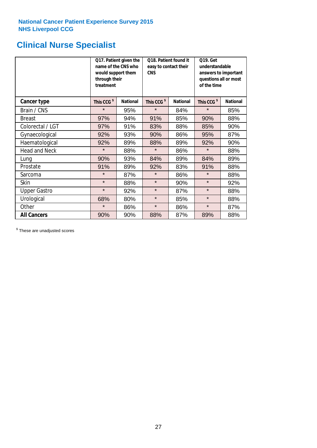## **Clinical Nurse Specialist**

|                      | would support them<br>through their<br>treatment | Q17. Patient given the<br>name of the CNS who | Q18. Patient found it<br>easy to contact their<br><b>CNS</b> |                 | <b>Q19. Get</b><br>understandable<br>answers to important<br>questions all or most<br>of the time |                 |
|----------------------|--------------------------------------------------|-----------------------------------------------|--------------------------------------------------------------|-----------------|---------------------------------------------------------------------------------------------------|-----------------|
| <b>Cancer type</b>   | This CCG <sup>\$</sup>                           | <b>National</b>                               | This CCG <sup>\$</sup>                                       | <b>National</b> | This CCG <sup>\$</sup>                                                                            | <b>National</b> |
| Brain / CNS          | $\star$                                          | 95%                                           | $\star$                                                      | 84%             | $\star$                                                                                           | 85%             |
| <b>Breast</b>        | 97%                                              | 94%                                           | 91%                                                          | 85%             | 90%                                                                                               | 88%             |
| Colorectal / LGT     | 97%                                              | 91%                                           | 83%                                                          | 88%             | 85%                                                                                               | 90%             |
| Gynaecological       | 92%                                              | 93%                                           | 90%                                                          | 86%             | 95%                                                                                               | 87%             |
| Haematological       | 92%                                              | 89%                                           | 88%<br>89%                                                   |                 | 92%                                                                                               | 90%             |
| <b>Head and Neck</b> | $\star$                                          | 88%                                           | $\star$                                                      | 86%             | $\star$                                                                                           | 88%             |
| Lung                 | 90%                                              | 93%                                           | 84%                                                          | 89%             | 84%                                                                                               | 89%             |
| Prostate             | 91%                                              | 89%                                           | 92%                                                          | 83%             | 91%                                                                                               | 88%             |
| Sarcoma              | $\star$                                          | 87%                                           | $\star$                                                      | 86%             | $\star$                                                                                           | 88%             |
| Skin                 | $\star$                                          | 88%                                           | $\star$                                                      | 90%             | $\star$                                                                                           | 92%             |
| <b>Upper Gastro</b>  | $\star$                                          | 92%                                           | $\star$                                                      | 87%             | $\star$                                                                                           | 88%             |
| Urological           | 68%                                              | 80%                                           | $\star$                                                      | 85%             | $\star$                                                                                           | 88%             |
| Other                | $\star$                                          | 86%                                           | $\star$                                                      | 86%             | $\star$                                                                                           | 87%             |
| <b>All Cancers</b>   | 90%                                              | 90%                                           | 88%                                                          | 87%             | 89%                                                                                               | 88%             |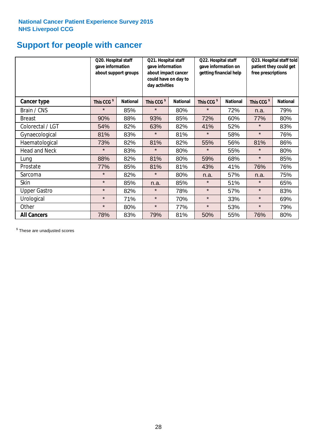## **Support for people with cancer**

|                      | Q20. Hospital staff<br>gave information | about support groups | Q21. Hospital staff<br>gave information<br>about impact cancer<br>could have on day to<br>day activities |                 | Q22. Hospital staff<br>gave information on<br>getting financial help |                 | Q23. Hospital staff told<br>patient they could get<br>free prescriptions |                 |
|----------------------|-----------------------------------------|----------------------|----------------------------------------------------------------------------------------------------------|-----------------|----------------------------------------------------------------------|-----------------|--------------------------------------------------------------------------|-----------------|
| Cancer type          | This CCG <sup>\$</sup>                  | <b>National</b>      | This CCG <sup>\$</sup>                                                                                   | <b>National</b> | This CCG <sup>\$</sup>                                               | <b>National</b> | This CCG <sup>\$</sup>                                                   | <b>National</b> |
| Brain / CNS          | $\star$                                 | 85%                  | $\star$                                                                                                  | 80%             | $\star$                                                              | 72%             | n.a.                                                                     | 79%             |
| <b>Breast</b>        | 90%                                     | 88%                  | 93%                                                                                                      | 85%             | 72%                                                                  | 60%             | 77%                                                                      | 80%             |
| Colorectal / LGT     | 54%                                     | 82%                  | 63%                                                                                                      | 82%             | 41%                                                                  | 52%             | $\star$                                                                  | 83%             |
| Gynaecological       | 81%                                     | 83%                  | $\star$                                                                                                  | 81%             | $\star$                                                              | 58%             | $\star$                                                                  | 76%             |
| Haematological       | 73%                                     | 82%                  | 81%                                                                                                      | 82%             | 55%                                                                  | 56%             | 81%                                                                      | 86%             |
| <b>Head and Neck</b> | $\star$                                 | 83%                  | $\star$                                                                                                  | 80%             | $\star$                                                              | 55%             | $\star$                                                                  | 80%             |
| Lung                 | 88%                                     | 82%                  | 81%                                                                                                      | 80%             | 59%                                                                  | 68%             | $\star$                                                                  | 85%             |
| Prostate             | 77%                                     | 85%                  | 81%                                                                                                      | 81%             | 43%                                                                  | 41%             | 76%                                                                      | 76%             |
| Sarcoma              | $\star$                                 | 82%                  | $\star$                                                                                                  | 80%             | n.a.                                                                 | 57%             | n.a.                                                                     | 75%             |
| Skin                 | $\star$                                 | 85%                  | n.a.                                                                                                     | 85%             | $\star$                                                              | 51%             | $\star$                                                                  | 65%             |
| <b>Upper Gastro</b>  | $\star$                                 | 82%                  | $\star$                                                                                                  | 78%             | $\star$                                                              | 57%             | $\star$                                                                  | 83%             |
| Urological           | $\star$                                 | 71%                  | $\star$                                                                                                  | 70%             | $\star$                                                              | 33%             | $\star$                                                                  | 69%             |
| Other                | $\star$                                 | 80%                  | $\star$                                                                                                  | 77%             | $\star$                                                              | 53%             | $\star$                                                                  | 79%             |
| <b>All Cancers</b>   | 78%                                     | 83%                  | 79%                                                                                                      | 81%             | 50%                                                                  | 55%             | 76%                                                                      | 80%             |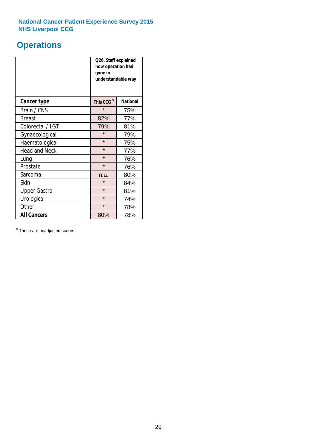## **Operations**

|                      | Q26. Staff explained<br>how operation had<br>gone in<br>understandable way |                 |  |  |
|----------------------|----------------------------------------------------------------------------|-----------------|--|--|
| <b>Cancer type</b>   | This CCG <sup>\$</sup>                                                     | <b>National</b> |  |  |
| Brain / CNS          | $\star$                                                                    | 75%             |  |  |
| <b>Breast</b>        | 82%                                                                        | 77%             |  |  |
| Colorectal / LGT     | 79%                                                                        | 81%             |  |  |
| Gynaecological       | $\star$                                                                    | 79%             |  |  |
| Haematological       | $\star$<br>75%                                                             |                 |  |  |
| <b>Head and Neck</b> | $\star$                                                                    | 77%             |  |  |
| Lung                 | $\star$                                                                    | 76%             |  |  |
| Prostate             | $\star$                                                                    | 76%             |  |  |
| Sarcoma              | n.a.                                                                       | 80%             |  |  |
| Skin                 | $\star$                                                                    | 84%             |  |  |
| <b>Upper Gastro</b>  | $\star$                                                                    | 81%             |  |  |
| Urological           | $\star$                                                                    | 74%             |  |  |
| Other                | $\star$<br>78%                                                             |                 |  |  |
| <b>All Cancers</b>   | 80%                                                                        | 78%             |  |  |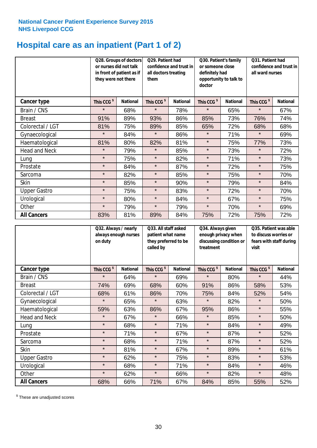## **Hospital care as an inpatient (Part 1 of 2)**

|                      | or nurses did not talk<br>they were not there | Q28. Groups of doctors<br>in front of patient as if | Q29. Patient had<br>confidence and trust in<br>all doctors treating<br>them |                 | Q30. Patient's family<br>or someone close<br>definitely had<br>opportunity to talk to<br>doctor |                 | Q31. Patient had<br>confidence and trust in<br>all ward nurses |                 |
|----------------------|-----------------------------------------------|-----------------------------------------------------|-----------------------------------------------------------------------------|-----------------|-------------------------------------------------------------------------------------------------|-----------------|----------------------------------------------------------------|-----------------|
| <b>Cancer type</b>   | This CCG <sup>\$</sup>                        | <b>National</b>                                     | This CCG <sup>\$</sup>                                                      | <b>National</b> | This CCG <sup>\$</sup>                                                                          | <b>National</b> | This CCG <sup>\$</sup>                                         | <b>National</b> |
| Brain / CNS          | $\star$                                       | 68%                                                 | $\star$                                                                     | 78%             | $\star$                                                                                         | 65%             | $\star$                                                        | 67%             |
| <b>Breast</b>        | 91%                                           | 89%                                                 | 93%                                                                         | 86%             | 85%                                                                                             | 73%             | 76%                                                            | 74%             |
| Colorectal / LGT     | 81%                                           | 75%                                                 | 89%                                                                         | 85%             | 65%                                                                                             | 72%             | 68%                                                            | 68%             |
| Gynaecological       | $\star$                                       | 84%                                                 | $\star$                                                                     | 86%             | $\star$                                                                                         | 71%             | $\star$                                                        | 69%             |
| Haematological       | 81%                                           | 80%                                                 | 82%                                                                         | 81%             | $\star$                                                                                         | 75%             | 77%                                                            | 73%             |
| <b>Head and Neck</b> | $\star$                                       | 79%                                                 | $\star$                                                                     | 85%             | $\star$                                                                                         | 73%             | $\star$                                                        | 72%             |
| Lung                 | $\star$                                       | 75%                                                 | $\star$                                                                     | 82%             | $\star$                                                                                         | 71%             | $\star$                                                        | 73%             |
| Prostate             | $\star$                                       | 84%                                                 | $\star$                                                                     | 87%             | $\star$                                                                                         | 72%             | $\star$                                                        | 75%             |
| Sarcoma              | $\star$                                       | 82%                                                 | $\star$                                                                     | 85%             | $\star$                                                                                         | 75%             | $\star$                                                        | 70%             |
| Skin                 | $\star$                                       | 85%                                                 | $\star$                                                                     | 90%             | $\star$                                                                                         | 79%             | $\star$                                                        | 84%             |
| <b>Upper Gastro</b>  | $\star$                                       | 75%                                                 | $\star$                                                                     | 83%             | $\star$                                                                                         | 72%             | $\star$                                                        | 70%             |
| Urological           | $\star$                                       | 80%                                                 | $\star$                                                                     | 84%             | $\star$                                                                                         | 67%             | $\star$                                                        | 75%             |
| Other                | $\star$                                       | 79%                                                 | $\star$                                                                     | 79%             | $\star$                                                                                         | 70%             | $\star$                                                        | 69%             |
| <b>All Cancers</b>   | 83%                                           | 81%                                                 | 89%                                                                         | 84%             | 75%                                                                                             | 72%             | 75%                                                            | 72%             |

|                      | on duty                | Q32. Always / nearly<br>always enough nurses |                        | Q33. All staff asked<br>patient what name<br>they preferred to be | Q34. Always given<br>enough privacy when<br>discussing condition or<br>treatment |                 | Q35. Patient was able<br>to discuss worries or<br>fears with staff during<br>visit |                 |
|----------------------|------------------------|----------------------------------------------|------------------------|-------------------------------------------------------------------|----------------------------------------------------------------------------------|-----------------|------------------------------------------------------------------------------------|-----------------|
| <b>Cancer type</b>   | This CCG <sup>\$</sup> | <b>National</b>                              | This CCG <sup>\$</sup> | <b>National</b>                                                   | This CCG <sup>\$</sup>                                                           | <b>National</b> | This CCG <sup>\$</sup>                                                             | <b>National</b> |
| Brain / CNS          | $\star$                | 64%                                          | $\star$                | 69%                                                               | $\star$                                                                          | 80%             | $\star$                                                                            | 44%             |
| <b>Breast</b>        | 74%                    | 69%                                          | 68%                    | 60%                                                               | 91%                                                                              | 86%             | 58%                                                                                | 53%             |
| Colorectal / LGT     | 68%                    | 61%                                          | 86%                    | 70%                                                               | 75%                                                                              | 84%             | 52%                                                                                | 54%             |
| Gynaecological       | $\star$                | 65%                                          | $\star$                | 63%                                                               | $\star$                                                                          | 82%             | $\star$                                                                            | 50%             |
| Haematological       | 59%                    | 63%                                          | 86%                    | 67%                                                               | 95%                                                                              | 86%             | $\star$                                                                            | 55%             |
| <b>Head and Neck</b> | $\star$                | 67%                                          | $\star$                | 66%                                                               | $\star$                                                                          | 85%             | $\star$                                                                            | 50%             |
| Lung                 | $\star$                | 68%                                          | $\star$                | 71%                                                               | $\star$                                                                          | 84%             | $\star$                                                                            | 49%             |
| Prostate             | $\star$                | 71%                                          | $\star$                | 67%                                                               | $\star$                                                                          | 87%             | $\star$                                                                            | 52%             |
| Sarcoma              | $\star$                | 68%                                          | $\star$                | 71%                                                               | $\star$                                                                          | 87%             | $\star$                                                                            | 52%             |
| Skin                 | $\star$                | 81%                                          | $\star$                | 67%                                                               | $\star$                                                                          | 89%             | $\star$                                                                            | 61%             |
| <b>Upper Gastro</b>  | $\star$                | 62%                                          | $\star$                | 75%                                                               | $\star$                                                                          | 83%             | $\star$                                                                            | 53%             |
| Urological           | $\star$                | 68%                                          | $\star$                | 71%                                                               | $\star$                                                                          | 84%             | $\star$                                                                            | 46%             |
| Other                | $\star$                | 62%                                          | $\star$                | 66%                                                               | $\star$                                                                          | 82%             | $\star$                                                                            | 48%             |
| <b>All Cancers</b>   | 68%                    | 66%                                          | 71%                    | 67%                                                               | 84%                                                                              | 85%             | 55%                                                                                | 52%             |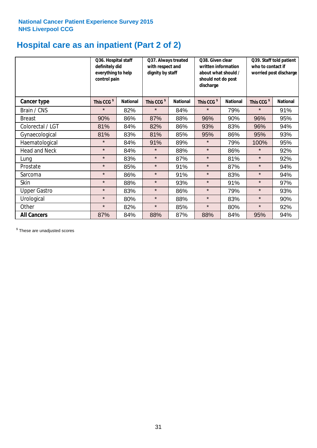# **Hospital care as an inpatient (Part 2 of 2)**

|                      | Q36. Hospital staff<br>definitely did<br>everything to help<br>control pain |                 | Q37. Always treated<br>with respect and<br>dignity by staff |                 | Q38. Given clear<br>written information<br>about what should /<br>should not do post<br>discharge |                 | Q39. Staff told patient<br>who to contact if<br>worried post discharge |                 |  |
|----------------------|-----------------------------------------------------------------------------|-----------------|-------------------------------------------------------------|-----------------|---------------------------------------------------------------------------------------------------|-----------------|------------------------------------------------------------------------|-----------------|--|
| Cancer type          | This CCG <sup>\$</sup>                                                      | <b>National</b> | This CCG <sup>\$</sup>                                      | <b>National</b> | This CCG <sup>\$</sup>                                                                            | <b>National</b> | This CCG <sup>\$</sup>                                                 | <b>National</b> |  |
| Brain / CNS          | $\star$                                                                     | 82%             | $\star$                                                     | 84%             | $\star$                                                                                           | 79%             | $\star$                                                                | 91%             |  |
| <b>Breast</b>        | 90%                                                                         | 86%             | 87%                                                         | 88%             | 96%                                                                                               | 90%             | 96%                                                                    | 95%             |  |
| Colorectal / LGT     | 81%                                                                         | 84%             | 82%                                                         | 86%             | 93%                                                                                               | 83%             | 96%                                                                    | 94%             |  |
| Gynaecological       | 81%                                                                         | 83%             | 81%                                                         | 85%             | 95%                                                                                               | 86%             | 95%                                                                    | 93%             |  |
| Haematological       | $\star$                                                                     | 84%             | 91%                                                         | 89%             | $\star$                                                                                           | 79%             | 100%                                                                   | 95%             |  |
| <b>Head and Neck</b> | $\star$                                                                     | 84%             | $\star$                                                     | 88%             | $\star$                                                                                           | 86%             | $\star$                                                                | 92%             |  |
| Lung                 | $\star$                                                                     | 83%             | $\star$                                                     | 87%             | $\star$                                                                                           | 81%             | $\star$                                                                | 92%             |  |
| Prostate             | $\star$                                                                     | 85%             | $\star$                                                     | 91%             | $\star$                                                                                           | 87%             | $\star$                                                                | 94%             |  |
| Sarcoma              | $\star$                                                                     | 86%             | $\star$                                                     | 91%             | $\star$                                                                                           | 83%             | $\star$                                                                | 94%             |  |
| Skin                 | $\star$                                                                     | 88%             | $\star$                                                     | 93%             | $\star$                                                                                           | 91%             | $\star$                                                                | 97%             |  |
| <b>Upper Gastro</b>  | $\star$                                                                     | 83%             | $\star$                                                     | 86%             | $\star$                                                                                           | 79%             | $\star$                                                                | 93%             |  |
| Urological           | $\star$                                                                     | 80%             | $\star$                                                     | 88%             | $\star$                                                                                           | 83%             | $\star$                                                                | 90%             |  |
| Other                | $\star$                                                                     | 82%             | $\star$                                                     | 85%             | $\star$                                                                                           | 80%             | $\star$                                                                | 92%             |  |
| <b>All Cancers</b>   | 87%                                                                         | 84%             | 88%                                                         | 87%             | 88%                                                                                               | 84%             | 95%                                                                    | 94%             |  |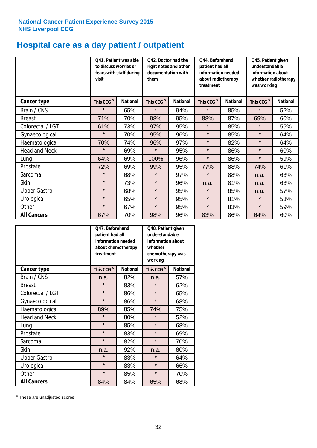## **Hospital care as a day patient / outpatient**

|                      | to discuss worries or<br>visit | Q41. Patient was able<br>fears with staff during | Q42. Doctor had the<br>right notes and other<br>documentation with<br>them |                 | Q44. Beforehand<br>patient had all<br>information needed<br>about radiotherapy<br>treatment |                 | Q45. Patient given<br>understandable<br>information about<br>whether radiotherapy<br>was working |                 |
|----------------------|--------------------------------|--------------------------------------------------|----------------------------------------------------------------------------|-----------------|---------------------------------------------------------------------------------------------|-----------------|--------------------------------------------------------------------------------------------------|-----------------|
| <b>Cancer type</b>   | This CCG <sup>\$</sup>         | <b>National</b>                                  | This CCG <sup>\$</sup>                                                     | <b>National</b> | This CCG <sup>\$</sup>                                                                      | <b>National</b> | This CCG <sup>\$</sup>                                                                           | <b>National</b> |
| Brain / CNS          | $\star$                        | 65%                                              | $\star$                                                                    | 94%             | $\star$                                                                                     | 85%             | $\star$                                                                                          | 52%             |
| <b>Breast</b>        | 71%                            | 70%                                              | 98%                                                                        | 95%             | 88%                                                                                         | 87%             | 69%                                                                                              | 60%             |
| Colorectal / LGT     | 61%                            | 73%                                              | 97%                                                                        | 95%             | $\star$                                                                                     | 85%             | $\star$                                                                                          | 55%             |
| Gynaecological       | $\star$                        | 70%                                              | 95%                                                                        | 96%             | $\star$                                                                                     | 85%             | $\star$                                                                                          | 64%             |
| Haematological       | 70%                            | 74%                                              | 96%                                                                        | 97%             | $\star$                                                                                     | 82%             | $\star$                                                                                          | 64%             |
| <b>Head and Neck</b> | $\star$                        | 69%                                              | $\star$                                                                    | 95%             | $\star$                                                                                     | 86%             | $\star$                                                                                          | 60%             |
| Lung                 | 64%                            | 69%                                              | 100%                                                                       | 96%             | $\star$                                                                                     | 86%             | $\star$                                                                                          | 59%             |
| Prostate             | 72%                            | 69%                                              | 99%                                                                        | 95%             | 77%                                                                                         | 88%             | 74%                                                                                              | 61%             |
| Sarcoma              | $\star$                        | 68%                                              | $\star$                                                                    | 97%             | $\star$                                                                                     | 88%             | n.a.                                                                                             | 63%             |
| Skin                 | $\star$                        | 73%                                              | $\star$                                                                    | 96%             | n.a.                                                                                        | 81%             | n.a.                                                                                             | 63%             |
| <b>Upper Gastro</b>  | $\star$                        | 68%                                              | $\star$                                                                    | 95%             | $\star$                                                                                     | 85%             | n.a.                                                                                             | 57%             |
| Urological           | $\star$                        | 65%                                              | $\star$                                                                    | 95%             | $\star$                                                                                     | 81%             | $\star$                                                                                          | 53%             |
| Other                | $\star$                        | 67%                                              | $\star$                                                                    | 95%             | $\star$                                                                                     | 83%             | $\star$                                                                                          | 59%             |
| <b>All Cancers</b>   | 67%                            | 70%                                              | 98%                                                                        | 96%             | 83%                                                                                         | 86%             | 64%                                                                                              | 60%             |

|                      | Q47. Beforehand<br>patient had all<br>information needed<br>about chemotherapy<br>treatment |                 | Q48. Patient given<br>understandable<br>information about<br>whether<br>chemotherapy was<br>working |                 |  |
|----------------------|---------------------------------------------------------------------------------------------|-----------------|-----------------------------------------------------------------------------------------------------|-----------------|--|
| <b>Cancer type</b>   | This CCG <sup>\$</sup>                                                                      | <b>National</b> | This CCG <sup>\$</sup>                                                                              | <b>National</b> |  |
| Brain / CNS          | n.a.                                                                                        | 82%             | n.a.                                                                                                | 57%             |  |
| <b>Breast</b>        | $\star$                                                                                     | 83%             | $\star$                                                                                             | 62%             |  |
| Colorectal / LGT     | $\star$                                                                                     | 86%             | $\star$                                                                                             | 65%             |  |
| Gynaecological       | $\star$                                                                                     | 86%             | $\star$                                                                                             | 68%             |  |
| Haematological       | 85%<br>89%                                                                                  |                 | 74%                                                                                                 | 75%             |  |
| <b>Head and Neck</b> | $\star$                                                                                     | 80%             | $\star$                                                                                             | 52%             |  |
| Lung                 | $\star$                                                                                     | 85%             | $\star$                                                                                             | 68%             |  |
| Prostate             | $\star$                                                                                     | 83%             | $\star$                                                                                             | 69%             |  |
| Sarcoma              | $\star$                                                                                     | 82%             | $\star$                                                                                             | 70%             |  |
| <b>Skin</b>          | n.a.                                                                                        | 92%             | n.a.                                                                                                | 80%             |  |
| <b>Upper Gastro</b>  | $\star$                                                                                     | 83%             | $\star$                                                                                             | 64%             |  |
| Urological           | $\star$                                                                                     | 83%             | $\star$                                                                                             | 66%             |  |
| Other                | $\star$                                                                                     | 85%             | $\star$                                                                                             | 70%             |  |
| <b>All Cancers</b>   | 84%                                                                                         | 84%             | 65%                                                                                                 | 68%             |  |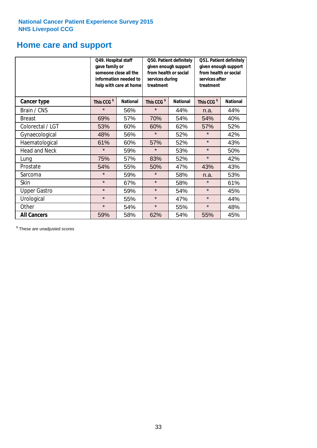## **Home care and support**

|                      |                        | Q49. Hospital staff<br>Q50. Patient definitely<br>given enough support<br>gave family or<br>from health or social<br>someone close all the<br>information needed to<br>services during<br>treatment<br>help with care at home |                        | Q51. Patient definitely<br>given enough support<br>from health or social<br>services after<br>treatment |                        |                 |
|----------------------|------------------------|-------------------------------------------------------------------------------------------------------------------------------------------------------------------------------------------------------------------------------|------------------------|---------------------------------------------------------------------------------------------------------|------------------------|-----------------|
| <b>Cancer type</b>   | This CCG <sup>\$</sup> | <b>National</b>                                                                                                                                                                                                               | This CCG <sup>\$</sup> | <b>National</b>                                                                                         | This CCG <sup>\$</sup> | <b>National</b> |
| Brain / CNS          | $\star$                | 56%                                                                                                                                                                                                                           | $\star$                | 44%                                                                                                     | n.a.                   | 44%             |
| <b>Breast</b>        | 69%                    | 57%                                                                                                                                                                                                                           | 70%                    | 54%                                                                                                     | 54%                    | 40%             |
| Colorectal / LGT     | 53%                    | 60%                                                                                                                                                                                                                           | 60%                    | 62%                                                                                                     | 57%                    | 52%             |
| Gynaecological       | 48%                    | 56%                                                                                                                                                                                                                           | $\star$                | 52%                                                                                                     | $\star$                | 42%             |
| Haematological       | 61%                    | 60%                                                                                                                                                                                                                           | 57%                    | 52%                                                                                                     | $\star$                | 43%             |
| <b>Head and Neck</b> | $\star$                | 59%                                                                                                                                                                                                                           | $\star$                | 53%                                                                                                     | $\star$                | 50%             |
| Lung                 | 75%                    | 57%                                                                                                                                                                                                                           | 83%                    | 52%                                                                                                     | $\star$                | 42%             |
| Prostate             | 54%                    | 55%                                                                                                                                                                                                                           | 50%                    | 47%                                                                                                     | 43%                    | 43%             |
| Sarcoma              | $\star$                | 59%                                                                                                                                                                                                                           | $\star$                | 58%                                                                                                     | n.a.                   | 53%             |
| Skin                 | $\star$                | 67%                                                                                                                                                                                                                           | $\star$                | 58%                                                                                                     | $\star$                | 61%             |
| <b>Upper Gastro</b>  | $\star$                | 59%                                                                                                                                                                                                                           | $\star$                | 54%                                                                                                     | $\star$                | 45%             |
| Urological           | $\star$                | 55%                                                                                                                                                                                                                           | $\star$                | 47%                                                                                                     | $\star$                | 44%             |
| Other                | $\star$                | 54%                                                                                                                                                                                                                           | $\star$                | 55%                                                                                                     |                        | 48%             |
| <b>All Cancers</b>   | 59%                    | 58%                                                                                                                                                                                                                           | 62%                    | 54%                                                                                                     | 55%                    | 45%             |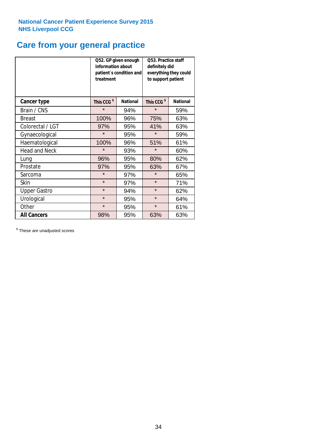## **Care from your general practice**

|                      | information about<br>treatment | Q52. GP given enough<br>patient's condition and | O53. Practice staff<br>definitely did<br>everything they could<br>to support patient |                 |  |
|----------------------|--------------------------------|-------------------------------------------------|--------------------------------------------------------------------------------------|-----------------|--|
| <b>Cancer type</b>   | This CCG <sup>\$</sup>         | <b>National</b>                                 | This CCG <sup>\$</sup>                                                               | <b>National</b> |  |
| Brain / CNS          | $\star$                        | 94%                                             | $\star$                                                                              | 59%             |  |
| <b>Breast</b>        | 100%                           | 96%                                             | 75%                                                                                  | 63%             |  |
| Colorectal / LGT     | 97%                            | 95%                                             | 41%                                                                                  | 63%             |  |
| Gynaecological       | $\star$                        | 95%                                             | $\star$                                                                              | 59%             |  |
| Haematological       | 100%                           | 96%                                             | 51%                                                                                  | 61%             |  |
| <b>Head and Neck</b> | $\star$                        | 93%                                             | $\star$                                                                              | 60%             |  |
| Lung                 | 96%                            | 95%                                             | 80%                                                                                  | 62%             |  |
| Prostate             | 97%                            | 95%                                             | 63%                                                                                  | 67%             |  |
| Sarcoma              | $\star$                        | 97%                                             | $\star$                                                                              | 65%             |  |
| Skin                 | $\star$                        | 97%                                             | $\star$                                                                              | 71%             |  |
| <b>Upper Gastro</b>  | $\star$                        | 94%                                             | $\star$                                                                              | 62%             |  |
| Urological           | $\star$                        | 95%                                             | $\star$                                                                              | 64%             |  |
| Other                | $\star$                        | 95%                                             | $\star$                                                                              | 61%             |  |
| <b>All Cancers</b>   | 98%                            | 95%                                             | 63%                                                                                  | 63%             |  |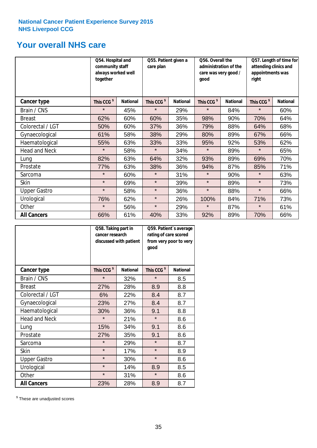## **Your overall NHS care**

|                      | Q54. Hospital and<br>community staff<br>always worked well<br>together |                 | care plan              | Q55. Patient given a |                        | Q56. Overall the<br>administration of the<br>care was very good /<br>qood |                        | Q57. Length of time for<br>attending clinics and<br>appointments was<br>right |  |
|----------------------|------------------------------------------------------------------------|-----------------|------------------------|----------------------|------------------------|---------------------------------------------------------------------------|------------------------|-------------------------------------------------------------------------------|--|
| Cancer type          | This CCG <sup>\$</sup>                                                 | <b>National</b> | This CCG <sup>\$</sup> | <b>National</b>      | This CCG <sup>\$</sup> | <b>National</b>                                                           | This CCG <sup>\$</sup> | <b>National</b>                                                               |  |
| Brain / CNS          | $\star$                                                                | 45%             | $\star$                | 29%                  | $\star$                | 84%                                                                       | $\star$                | 60%                                                                           |  |
| <b>Breast</b>        | 62%                                                                    | 60%             | 60%                    | 35%                  | 98%                    | 90%                                                                       | 70%                    | 64%                                                                           |  |
| Colorectal / LGT     | 50%                                                                    | 60%             | 37%                    | 36%                  | 79%                    | 88%                                                                       | 64%                    | 68%                                                                           |  |
| Gynaecological       | 61%                                                                    | 58%             | 38%                    | 29%                  | 80%                    | 89%                                                                       | 67%                    | 66%                                                                           |  |
| Haematological       | 55%                                                                    | 63%             | 33%                    | 33%                  | 95%                    | 92%                                                                       | 53%                    | 62%                                                                           |  |
| <b>Head and Neck</b> | $\star$                                                                | 58%             | $\star$                | 34%                  | $\star$                | 89%                                                                       | $\star$                | 65%                                                                           |  |
| Lung                 | 82%                                                                    | 63%             | 64%                    | 32%                  | 93%                    | 89%                                                                       | 69%                    | 70%                                                                           |  |
| Prostate             | 77%                                                                    | 63%             | 38%                    | 36%                  | 94%                    | 87%                                                                       | 85%                    | 71%                                                                           |  |
| Sarcoma              | $\star$                                                                | 60%             | $\star$                | 31%                  | $\star$                | 90%                                                                       | $\star$                | 63%                                                                           |  |
| Skin                 | $\star$                                                                | 69%             | $\star$                | 39%                  | $\star$                | 89%                                                                       | $\star$                | 73%                                                                           |  |
| <b>Upper Gastro</b>  | $\star$                                                                | 58%             | $\star$                | 36%                  | $\star$                | 88%                                                                       | $\star$                | 66%                                                                           |  |
| Urological           | 76%                                                                    | 62%             | $\star$                | 26%                  | 100%                   | 84%                                                                       | 71%                    | 73%                                                                           |  |
| Other                | $\star$                                                                | 56%             | $\star$                | 29%                  | $\star$                | 87%                                                                       | $\star$                | 61%                                                                           |  |
| <b>All Cancers</b>   | 66%                                                                    | 61%             | 40%                    | 33%                  | 92%                    | 89%                                                                       | 70%                    | 66%                                                                           |  |

|                      | Q58. Taking part in<br>cancer research | discussed with patient | Q59. Patient's average<br>rating of care scored<br>from very poor to very<br>good |                 |  |
|----------------------|----------------------------------------|------------------------|-----------------------------------------------------------------------------------|-----------------|--|
| <b>Cancer type</b>   | This CCG <sup>\$</sup>                 | <b>National</b>        | This CCG <sup>\$</sup>                                                            | <b>National</b> |  |
| Brain / CNS          | $\star$                                | 32%                    | $\star$                                                                           | 8.5             |  |
| <b>Breast</b>        | 27%                                    | 28%                    | 8.9                                                                               | 8.8             |  |
| Colorectal / LGT     | 6%                                     | 22%                    | 8.4                                                                               | 8.7             |  |
| Gynaecological       | 23%                                    | 27%                    | 8.4                                                                               | 8.7             |  |
| Haematological       | 30%                                    | 36%                    | 9.1                                                                               | 8.8             |  |
| <b>Head and Neck</b> | $\star$                                | 21%                    | $\star$                                                                           | 8.6             |  |
| Lung                 | 15%                                    | 34%                    | 9.1                                                                               | 8.6             |  |
| Prostate             | 27%                                    | 35%                    | 9.1                                                                               | 8.6             |  |
| Sarcoma              | $\star$                                | 29%                    | $\star$                                                                           | 8.7             |  |
| <b>Skin</b>          | $\star$                                | 17%                    | $\star$                                                                           | 8.9             |  |
| <b>Upper Gastro</b>  | $\star$                                | 30%                    | $\star$                                                                           | 8.6             |  |
| Urological           | $\star$                                | 14%                    | 8.9                                                                               | 8.5             |  |
| Other                | $\star$                                | 31%                    | $\star$                                                                           | 8.6             |  |
| <b>All Cancers</b>   | 23%                                    | 28%                    | 8.9                                                                               | 8.7             |  |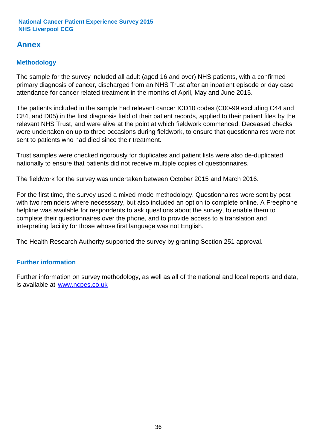## **Annex**

## **Methodology**

The sample for the survey included all adult (aged 16 and over) NHS patients, with a confirmed primary diagnosis of cancer, discharged from an NHS Trust after an inpatient episode or day case attendance for cancer related treatment in the months of April, May and June 2015.

The patients included in the sample had relevant cancer ICD10 codes (C00-99 excluding C44 and C84, and D05) in the first diagnosis field of their patient records, applied to their patient files by the relevant NHS Trust, and were alive at the point at which fieldwork commenced. Deceased checks were undertaken on up to three occasions during fieldwork, to ensure that questionnaires were not sent to patients who had died since their treatment.

Trust samples were checked rigorously for duplicates and patient lists were also de-duplicated nationally to ensure that patients did not receive multiple copies of questionnaires.

The fieldwork for the survey was undertaken between October 2015 and March 2016.

For the first time, the survey used a mixed mode methodology. Questionnaires were sent by post with two reminders where necesssary, but also included an option to complete online. A Freephone helpline was available for respondents to ask questions about the survey, to enable them to complete their questionnaires over the phone, and to provide access to a translation and interpreting facility for those whose first language was not English.

The Health Research Authority supported the survey by granting Section 251 approval.

## **Further information**

Further information on survey methodology, as well as all of the national and local reports and data, is available at www.ncpes.co.uk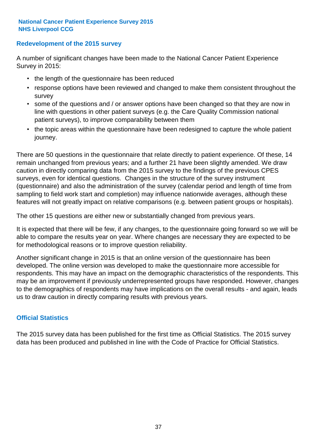### **Redevelopment of the 2015 survey**

A number of significant changes have been made to the National Cancer Patient Experience Survey in 2015:

- the length of the questionnaire has been reduced
- response options have been reviewed and changed to make them consistent throughout the survey
- some of the questions and / or answer options have been changed so that they are now in line with questions in other patient surveys (e.g. the Care Quality Commission national patient surveys), to improve comparability between them
- the topic areas within the questionnaire have been redesigned to capture the whole patient journey.

There are 50 questions in the questionnaire that relate directly to patient experience. Of these, 14 remain unchanged from previous years; and a further 21 have been slightly amended. We draw caution in directly comparing data from the 2015 survey to the findings of the previous CPES surveys, even for identical questions. Changes in the structure of the survey instrument (questionnaire) and also the administration of the survey (calendar period and length of time from sampling to field work start and completion) may influence nationwide averages, although these features will not greatly impact on relative comparisons (e.g. between patient groups or hospitals).

The other 15 questions are either new or substantially changed from previous years.

It is expected that there will be few, if any changes, to the questionnaire going forward so we will be able to compare the results year on year. Where changes are necessary they are expected to be for methodological reasons or to improve question reliability.

Another significant change in 2015 is that an online version of the questionnaire has been developed. The online version was developed to make the questionnaire more accessible for respondents. This may have an impact on the demographic characteristics of the respondents. This may be an improvement if previously underrepresented groups have responded. However, changes to the demographics of respondents may have implications on the overall results - and again, leads us to draw caution in directly comparing results with previous years.

### **Official Statistics**

The 2015 survey data has been published for the first time as Official Statistics. The 2015 survey data has been produced and published in line with the Code of Practice for Official Statistics.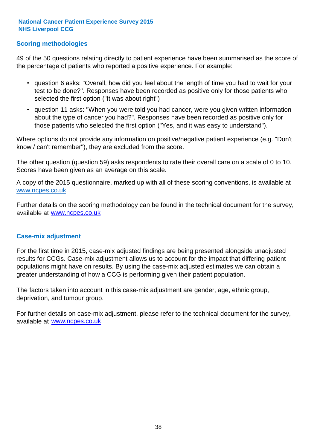### **Scoring methodologies**

49 of the 50 questions relating directly to patient experience have been summarised as the score of the percentage of patients who reported a positive experience. For example:

- question 6 asks: "Overall, how did you feel about the length of time you had to wait for your test to be done?". Responses have been recorded as positive only for those patients who selected the first option ("It was about right")
- question 11 asks: "When you were told you had cancer, were you given written information about the type of cancer you had?". Responses have been recorded as positive only for those patients who selected the first option ("Yes, and it was easy to understand").

Where options do not provide any information on positive/negative patient experience (e.g. "Don't know / can't remember"), they are excluded from the score.

The other question (question 59) asks respondents to rate their overall care on a scale of 0 to 10. Scores have been given as an average on this scale.

A copy of the 2015 questionnaire, marked up with all of these scoring conventions, is available at www.ncpes.co.uk

Further details on the scoring methodology can be found in the technical document for the survey, available at <u>www.ncpes.co.uk</u>

#### **Case-mix adjustment**

For the first time in 2015, case-mix adjusted findings are being presented alongside unadjusted results for CCGs. Case-mix adjustment allows us to account for the impact that differing patient populations might have on results. By using the case-mix adjusted estimates we can obtain a greater understanding of how a CCG is performing given their patient population.

The factors taken into account in this case-mix adjustment are gender, age, ethnic group, deprivation, and tumour group.

For further details on case-mix adjustment, please refer to the technical document for the survey, available at www.ncpes.co.uk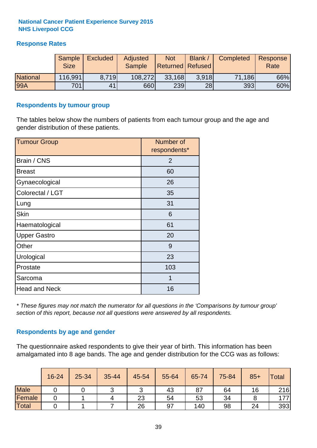## **Response Rates**

|                 | Sample<br><b>Size</b> | <b>Excluded</b> | Adjusted<br><b>Sample</b> | <b>Not</b><br><b>Returned Refused</b> | <b>Blank</b> | Completed | Response<br>Rate |
|-----------------|-----------------------|-----------------|---------------------------|---------------------------------------|--------------|-----------|------------------|
| <b>National</b> | 116,991               | 8.719           | 108,272                   | 33,168                                | 3.918        | 71,186    | 66%              |
| 99A             | 701                   | 41              | 660                       | 239                                   | 28           | 393       | 60%              |

#### **Respondents by tumour group**

The tables below show the numbers of patients from each tumour group and the age and gender distribution of these patients.

| <b>Tumour Group</b>  | Number of<br>respondents* |  |  |
|----------------------|---------------------------|--|--|
| Brain / CNS          | $\overline{2}$            |  |  |
| <b>Breast</b>        | 60                        |  |  |
| Gynaecological       | 26                        |  |  |
| Colorectal / LGT     | 35                        |  |  |
| Lung                 | 31                        |  |  |
| <b>Skin</b>          | 6                         |  |  |
| Haematological       | 61                        |  |  |
| <b>Upper Gastro</b>  | 20                        |  |  |
| Other                | 9                         |  |  |
| Urological           | 23                        |  |  |
| Prostate             | 103                       |  |  |
| Sarcoma              | 1                         |  |  |
| <b>Head and Neck</b> | 16                        |  |  |

*\* These figures may not match the numerator for all questions in the 'Comparisons by tumour group' section of this report, because not all questions were answered by all respondents.*

### **Respondents by age and gender**

The questionnaire asked respondents to give their year of birth. This information has been amalgamated into 8 age bands. The age and gender distribution for the CCG was as follows:

|             | 16-24 | 25-34 | 35-44 | 45-54  | 55-64 | 65-74 | 75-84 | $85+$ | <b>Total</b> |
|-------------|-------|-------|-------|--------|-------|-------|-------|-------|--------------|
| <b>Male</b> |       |       |       | ⌒<br>ັ | 43    | 87    | 64    | 16    | 216          |
| Female      |       |       |       | 23     | 54    | 53    | 34    |       | 177          |
| Total       |       |       |       | 26     | 97    | 140   | 98    | 24    | 393          |